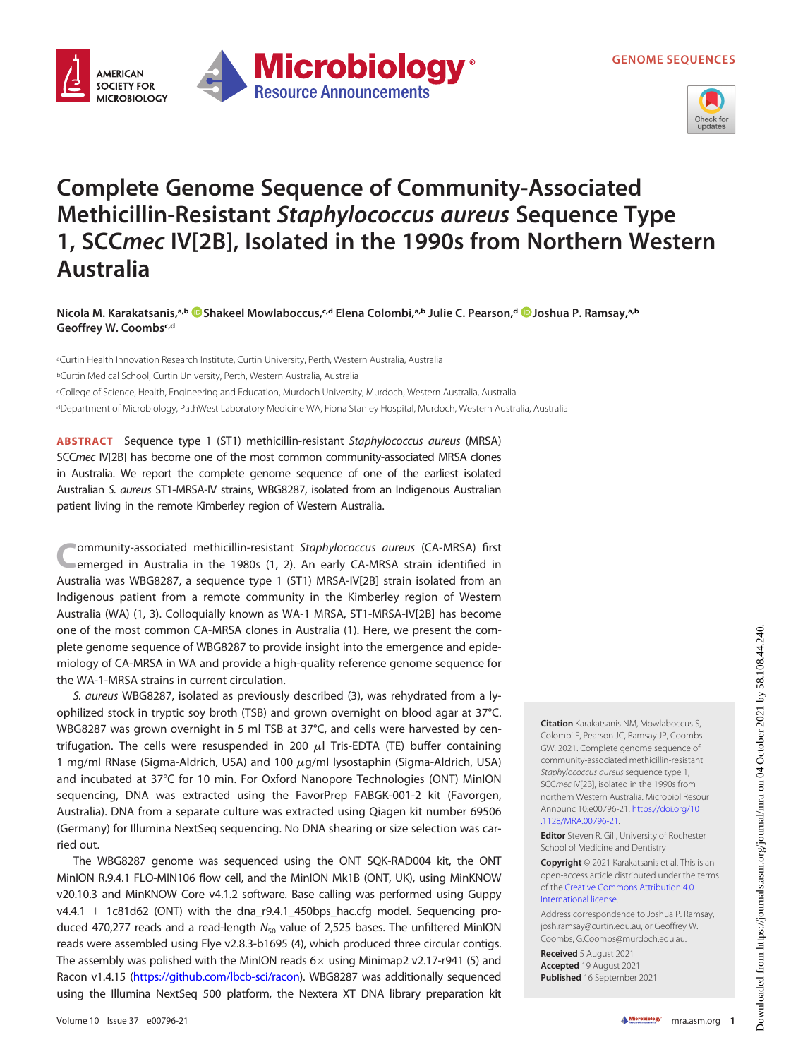



## Complete Genome Sequence of Community-Associated Methicillin-Resistant Staphylococcus aureus Sequence Type 1, SCCmec IV[2B], Isolated in the 1990s from Northern Western Australia

Nicola M. Karakatsanis,ª ����[Shakeel Mowlaboccus](https://orcid.org/0000-0001-9408-6068),<sup>c.d</sup> Elena Colombi,ª bJulie C. Pearson,d ��[Joshua P. Ramsay,](https://orcid.org/0000-0002-1301-7077)ª b Geoffrey W. Coombsc,d

aCurtin Health Innovation Research Institute, Curtin University, Perth, Western Australia, Australia bCurtin Medical School, Curtin University, Perth, Western Australia, Australia cCollege of Science, Health, Engineering and Education, Murdoch University, Murdoch, Western Australia, Australia dDepartment of Microbiology, PathWest Laboratory Medicine WA, Fiona Stanley Hospital, Murdoch, Western Australia, Australia

ABSTRACT Sequence type 1 (ST1) methicillin-resistant Staphylococcus aureus (MRSA) SCCmec IV[2B] has become one of the most common community-associated MRSA clones in Australia. We report the complete genome sequence of one of the earliest isolated Australian S. aureus ST1-MRSA-IV strains, WBG8287, isolated from an Indigenous Australian patient living in the remote Kimberley region of Western Australia.

ommunity-associated methicillin-resistant Staphylococcus aureus (CA-MRSA) first emerged in Australia in the 1980s [\(1,](#page-1-0) [2](#page-1-1)). An early CA-MRSA strain identified in Australia was WBG8287, a sequence type 1 (ST1) MRSA-IV[2B] strain isolated from an Indigenous patient from a remote community in the Kimberley region of Western Australia (WA) [\(1,](#page-1-0) [3](#page-1-2)). Colloquially known as WA-1 MRSA, ST1-MRSA-IV[2B] has become one of the most common CA-MRSA clones in Australia ([1](#page-1-0)). Here, we present the complete genome sequence of WBG8287 to provide insight into the emergence and epidemiology of CA-MRSA in WA and provide a high-quality reference genome sequence for the WA-1-MRSA strains in current circulation.

S. aureus WBG8287, isolated as previously described ([3](#page-1-2)), was rehydrated from a lyophilized stock in tryptic soy broth (TSB) and grown overnight on blood agar at 37°C. WBG8287 was grown overnight in 5 ml TSB at 37°C, and cells were harvested by centrifugation. The cells were resuspended in 200  $\mu$ l Tris-EDTA (TE) buffer containing 1 mg/ml RNase (Sigma-Aldrich, USA) and 100  $\mu$ g/ml lysostaphin (Sigma-Aldrich, USA) and incubated at 37°C for 10 min. For Oxford Nanopore Technologies (ONT) MinION sequencing, DNA was extracted using the FavorPrep FABGK-001-2 kit (Favorgen, Australia). DNA from a separate culture was extracted using Qiagen kit number 69506 (Germany) for Illumina NextSeq sequencing. No DNA shearing or size selection was carried out.

The WBG8287 genome was sequenced using the ONT SQK-RAD004 kit, the ONT MinION R.9.4.1 FLO-MIN106 flow cell, and the MinION Mk1B (ONT, UK), using MinKNOW v20.10.3 and MinKNOW Core v4.1.2 software. Base calling was performed using Guppy  $v4.4.1 + 1c81d62$  (ONT) with the dna\_r9.4.1\_450bps\_hac.cfg model. Sequencing produced 470,277 reads and a read-length  $N_{50}$  value of 2,525 bases. The unfiltered MinION reads were assembled using Flye v2.8.3-b1695 ([4](#page-1-3)), which produced three circular contigs. The assembly was polished with the MinION reads  $6 \times$  using Minimap2 v2.17-r941 ([5](#page-1-4)) and Racon v1.4.15 ([https://github.com/lbcb-sci/racon\)](https://github.com/lbcb-sci/racon). WBG8287 was additionally sequenced using the Illumina NextSeq 500 platform, the Nextera XT DNA library preparation kit Citation Karakatsanis NM, Mowlaboccus S, Colombi E, Pearson JC, Ramsay JP, Coombs GW. 2021. Complete genome sequence of community-associated methicillin-resistant Staphylococcus aureus sequence type 1, SCCmec IV[2B], isolated in the 1990s from northern Western Australia. Microbiol Resour Announc 10:e00796-21. [https://doi.org/10](https://doi.org/10.1128/MRA.00796-21) [.1128/MRA.00796-21.](https://doi.org/10.1128/MRA.00796-21)

Editor Steven R. Gill, University of Rochester School of Medicine and Dentistry

Copyright © 2021 Karakatsanis et al. This is an open-access article distributed under the terms of the [Creative Commons Attribution 4.0](https://creativecommons.org/licenses/by/4.0/) [International license](https://creativecommons.org/licenses/by/4.0/).

Address correspondence to Joshua P. Ramsay, josh.ramsay@curtin.edu.au, or Geoffrey W. Coombs, G.Coombs@murdoch.edu.au.

Received 5 August 2021 Accepted 19 August 2021 Published 16 September 2021